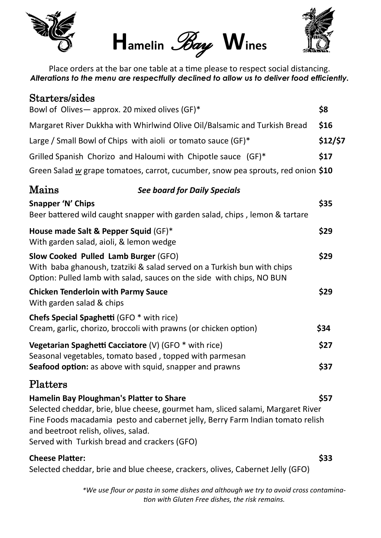





Place orders at the bar one table at a time please to respect social distancing. *Alterations to the menu are respectfully declined to allow us to deliver food efficiently.*

| Starters/sides                                                                                                                                                                                                                                                                                              |      |  |
|-------------------------------------------------------------------------------------------------------------------------------------------------------------------------------------------------------------------------------------------------------------------------------------------------------------|------|--|
| Bowl of Olives-approx. 20 mixed olives (GF)*                                                                                                                                                                                                                                                                | \$8  |  |
| Margaret River Dukkha with Whirlwind Olive Oil/Balsamic and Turkish Bread                                                                                                                                                                                                                                   | \$16 |  |
| Large / Small Bowl of Chips with aioli or tomato sauce (GF)*                                                                                                                                                                                                                                                |      |  |
| Grilled Spanish Chorizo and Haloumi with Chipotle sauce (GF)*                                                                                                                                                                                                                                               |      |  |
| Green Salad $\underline{w}$ grape tomatoes, carrot, cucumber, snow pea sprouts, red onion \$10                                                                                                                                                                                                              |      |  |
| Mains<br><b>See board for Daily Specials</b>                                                                                                                                                                                                                                                                |      |  |
| Snapper 'N' Chips<br>Beer battered wild caught snapper with garden salad, chips, lemon & tartare                                                                                                                                                                                                            | \$35 |  |
| House made Salt & Pepper Squid (GF)*<br>With garden salad, aioli, & lemon wedge                                                                                                                                                                                                                             | \$29 |  |
| Slow Cooked Pulled Lamb Burger (GFO)<br>With baba ghanoush, tzatziki & salad served on a Turkish bun with chips<br>Option: Pulled lamb with salad, sauces on the side with chips, NO BUN                                                                                                                    | \$29 |  |
| <b>Chicken Tenderloin with Parmy Sauce</b><br>With garden salad & chips                                                                                                                                                                                                                                     | \$29 |  |
| <b>Chefs Special Spaghetti (GFO * with rice)</b><br>Cream, garlic, chorizo, broccoli with prawns (or chicken option)                                                                                                                                                                                        | \$34 |  |
| Vegetarian Spaghetti Cacciatore (V) (GFO * with rice)<br>Seasonal vegetables, tomato based, topped with parmesan                                                                                                                                                                                            | \$27 |  |
| Seafood option: as above with squid, snapper and prawns                                                                                                                                                                                                                                                     | \$37 |  |
| Platters                                                                                                                                                                                                                                                                                                    |      |  |
| <b>Hamelin Bay Ploughman's Platter to Share</b><br>Selected cheddar, brie, blue cheese, gourmet ham, sliced salami, Margaret River<br>Fine Foods macadamia pesto and cabernet jelly, Berry Farm Indian tomato relish<br>and beetroot relish, olives, salad.<br>Served with Turkish bread and crackers (GFO) | \$57 |  |
| <b>Cheese Platter:</b><br>Selected cheddar, brie and blue cheese, crackers, olives, Cabernet Jelly (GFO)                                                                                                                                                                                                    | \$33 |  |

*\*We use flour or pasta in some dishes and although we try to avoid cross contamination with Gluten Free dishes, the risk remains.*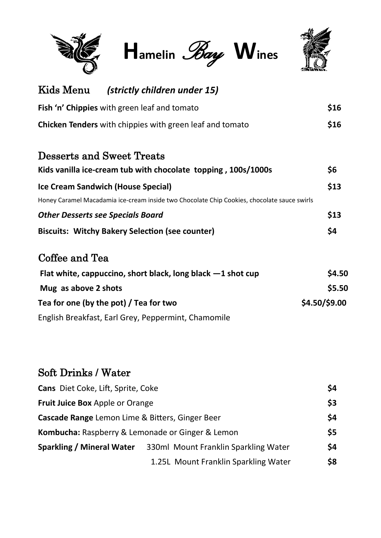

**Hamelin** *Bay* **Wines**



| Kids Menu                       | (strictly children under 15)                                                                |               |
|---------------------------------|---------------------------------------------------------------------------------------------|---------------|
|                                 | Fish 'n' Chippies with green leaf and tomato                                                | \$16          |
|                                 | <b>Chicken Tenders</b> with chippies with green leaf and tomato                             | \$16          |
|                                 | <b>Desserts and Sweet Treats</b>                                                            |               |
|                                 | Kids vanilla ice-cream tub with chocolate topping, 100s/1000s                               | \$6           |
|                                 | <b>Ice Cream Sandwich (House Special)</b>                                                   | \$13          |
|                                 | Honey Caramel Macadamia ice-cream inside two Chocolate Chip Cookies, chocolate sauce swirls |               |
|                                 | <b>Other Desserts see Specials Board</b>                                                    | \$13          |
|                                 | <b>Biscuits: Witchy Bakery Selection (see counter)</b>                                      | \$4           |
| Coffee and Tea                  |                                                                                             |               |
|                                 | Flat white, cappuccino, short black, long black $-1$ shot cup                               | \$4.50        |
| Mug as above 2 shots            |                                                                                             | \$5.50        |
|                                 | Tea for one (by the pot) / Tea for two                                                      | \$4.50/\$9.00 |
|                                 | English Breakfast, Earl Grey, Peppermint, Chamomile                                         |               |
| <b>Soft Drinks / Water</b>      |                                                                                             |               |
|                                 |                                                                                             |               |
|                                 | Cans Diet Coke, Lift, Sprite, Coke                                                          | \$4           |
| Fruit Juice Box Apple or Orange |                                                                                             | \$3           |
|                                 | Cascade Range Lemon Lime & Bitters, Ginger Beer                                             | \$4           |
|                                 | Kombucha: Raspberry & Lemonade or Ginger & Lemon                                            | \$5           |

**Sparkling / Mineral Water** 330ml Mount Franklin Sparkling Water **\$4**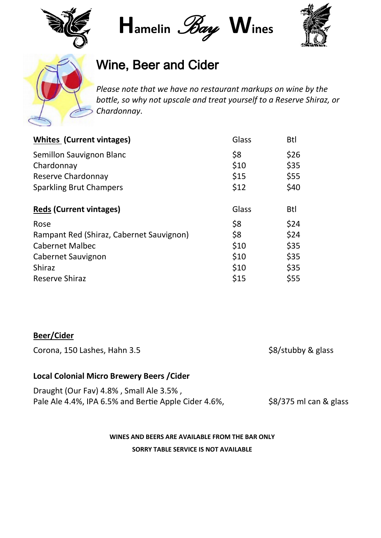

**Hamelin** *Bay* **Wines**





## Wine, Beer and Cider

*Please note that we have no restaurant markups on wine by the bottle, so why not upscale and treat yourself to a Reserve Shiraz, or Chardonnay*.

| <b>Whites (Current vintages)</b>         | Glass | <b>Btl</b> |
|------------------------------------------|-------|------------|
| Semillon Sauvignon Blanc                 | \$8   | \$26       |
| Chardonnay                               | \$10  | \$35       |
| Reserve Chardonnay                       | \$15  | \$55       |
| <b>Sparkling Brut Champers</b>           | \$12  | \$40       |
|                                          |       |            |
| <b>Reds (Current vintages)</b>           | Glass | <b>Btl</b> |
| Rose                                     | \$8   | \$24       |
| Rampant Red (Shiraz, Cabernet Sauvignon) | \$8   | \$24       |
| <b>Cabernet Malbec</b>                   | \$10  | \$35       |
| Cabernet Sauvignon                       | \$10  | \$35       |
| <b>Shiraz</b>                            | \$10  | \$35       |
| <b>Reserve Shiraz</b>                    | \$15  | \$55       |

## **Beer/Cider**

Corona, 150 Lashes, Hahn 3.5 \$8/stubby & glass

## **Local Colonial Micro Brewery Beers /Cider**

| Draught (Our Fav) 4.8%, Small Ale 3.5%,              |                        |
|------------------------------------------------------|------------------------|
| Pale Ale 4.4%, IPA 6.5% and Bertie Apple Cider 4.6%, | \$8/375 ml can & glass |

**WINES AND BEERS ARE AVAILABLE FROM THE BAR ONLY**

**SORRY TABLE SERVICE IS NOT AVAILABLE**